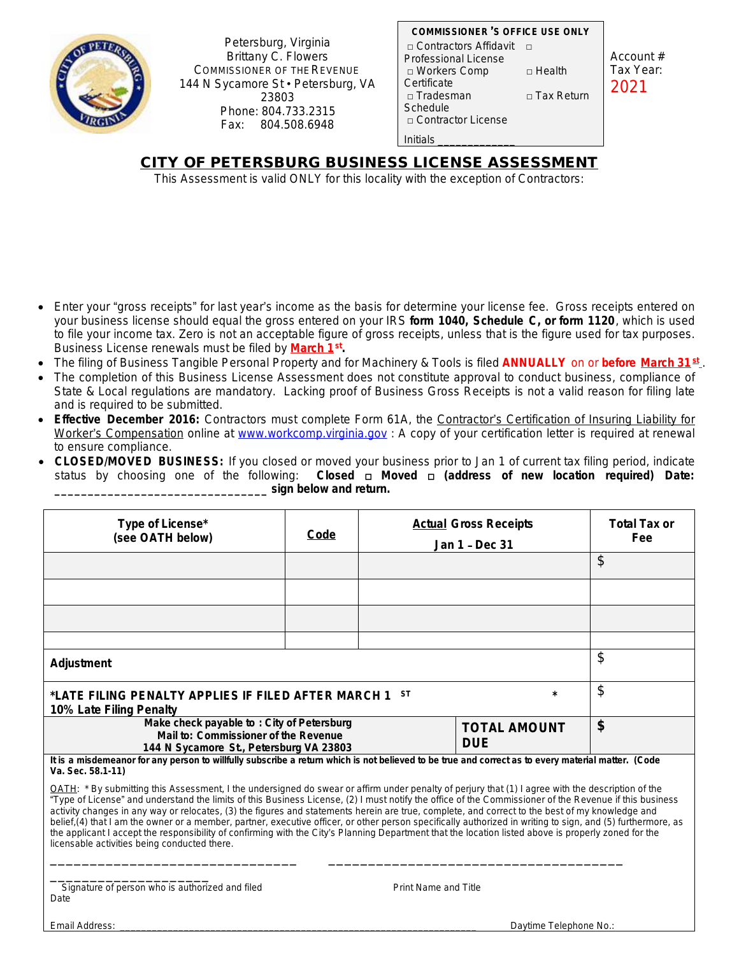

Petersburg, Virginia Brittany C. Flowers COMMISSIONER OF THE REVENUE 144 N Sycamore St · Petersburg, VA 23803 Phone: 804.733.2315 Fax: 804.508.6948

| <b>COMMISSIONER 'S OFFICE USE ONLY</b> |                   |  |  |  |
|----------------------------------------|-------------------|--|--|--|
| □ Contractors Affidavit                |                   |  |  |  |
| Professional License                   |                   |  |  |  |
| □ Workers Comp                         | □ Health          |  |  |  |
| Certificate                            |                   |  |  |  |
| □ Tradesman                            | $\Box$ Tax Return |  |  |  |
| Schedule                               |                   |  |  |  |
| □ Contractor License                   |                   |  |  |  |
| Initials                               |                   |  |  |  |

Account # Tax Year: 2021

## **CITY OF PETERSBURG BUSINESS LICENSE ASSESSMENT**

This Assessment is valid ONLY for this locality with the exception of Contractors:

- Enter your "gross receipts" for last year's income as the basis for determine your license fee. Gross receipts entered on your business license should equal the gross entered on your IRS **form 1040, Schedule C, or form 1120**, which is used to file your income tax. Zero is not an acceptable figure of gross receipts, unless that is the figure used for tax purposes. Business License renewals must be filed by **March 1st .**
- The filing of Business Tangible Personal Property and for Machinery & Tools is filed **ANNUALLY** on or **before March 31st** .
- The completion of this Business License Assessment does not constitute approval to conduct business, compliance of State & Local regulations are mandatory. Lacking proof of Business Gross Receipts is not a valid reason for filing late and is required to be submitted.
- **Effective December 2016:** Contractors must complete Form 61A, the Contractor's Certification of Insuring Liability for Worker's Compensation online at [www.workcomp.virginia.gov](http://www.workcomp.virginia.gov) : A copy of your certification letter is required at renewal to ensure compliance.
- **CLOSED/MOVED BUSINESS:** If you closed or moved your business prior to Jan 1 of current tax filing period, indicate status by choosing one of the following: **Closed a Moved a (address of new location required) Date:** status by choosing one of the following: **Closed** □ **Moved** □ **(address of new location required) Date: \_\_\_\_\_\_\_\_\_\_\_\_\_\_\_\_\_\_\_\_\_\_\_\_\_\_\_\_\_\_\_\_ sign below and return.**

| Type of License*<br>(see OATH below)                                                                                                                                                                                                                                                                                                                                                                                                                                                                                                                                                                                                                                                                                                                                                                                                   | Code | <b>Actual Gross Receipts</b><br>Jan 1 - Dec 31 |    | <b>Total Tax or</b><br>Fee |
|----------------------------------------------------------------------------------------------------------------------------------------------------------------------------------------------------------------------------------------------------------------------------------------------------------------------------------------------------------------------------------------------------------------------------------------------------------------------------------------------------------------------------------------------------------------------------------------------------------------------------------------------------------------------------------------------------------------------------------------------------------------------------------------------------------------------------------------|------|------------------------------------------------|----|----------------------------|
|                                                                                                                                                                                                                                                                                                                                                                                                                                                                                                                                                                                                                                                                                                                                                                                                                                        |      |                                                |    | \$                         |
|                                                                                                                                                                                                                                                                                                                                                                                                                                                                                                                                                                                                                                                                                                                                                                                                                                        |      |                                                |    |                            |
|                                                                                                                                                                                                                                                                                                                                                                                                                                                                                                                                                                                                                                                                                                                                                                                                                                        |      |                                                |    |                            |
|                                                                                                                                                                                                                                                                                                                                                                                                                                                                                                                                                                                                                                                                                                                                                                                                                                        |      |                                                |    |                            |
| Adjustment                                                                                                                                                                                                                                                                                                                                                                                                                                                                                                                                                                                                                                                                                                                                                                                                                             |      |                                                | \$ |                            |
| <b>ST</b><br>$\star$<br>*LATE FILING PENALTY APPLIES IF FILED AFTER MARCH 1<br>10% Late Filing Penalty                                                                                                                                                                                                                                                                                                                                                                                                                                                                                                                                                                                                                                                                                                                                 |      |                                                |    | \$                         |
| Make check payable to: City of Petersburg<br>Mail to: Commissioner of the Revenue<br>144 N Sycamore St., Petersburg VA 23803                                                                                                                                                                                                                                                                                                                                                                                                                                                                                                                                                                                                                                                                                                           |      | <b>TOTAL AMOUNT</b><br><b>DUF</b>              | \$ |                            |
| It is a misdemeanor for any person to willfully subscribe a return which is not believed to be true and correct as to every material matter. (Code<br>Va. Sec. 58.1-11)                                                                                                                                                                                                                                                                                                                                                                                                                                                                                                                                                                                                                                                                |      |                                                |    |                            |
| OATH: * By submitting this Assessment, I the undersigned do swear or affirm under penalty of perjury that (1) I agree with the description of the<br>"Type of License" and understand the limits of this Business License, (2) I must notify the office of the Commissioner of the Revenue if this business<br>activity changes in any way or relocates, (3) the figures and statements herein are true, complete, and correct to the best of my knowledge and<br>belief, (4) that I am the owner or a member, partner, executive officer, or other person specifically authorized in writing to sign, and (5) furthermore, as<br>the applicant I accept the responsibility of confirming with the City's Planning Department that the location listed above is properly zoned for the<br>licensable activities being conducted there. |      |                                                |    |                            |

Si<br>Date Signature of person who is authorized and filed Print Name and Title

Email Address: \_\_\_\_\_\_\_\_\_\_\_\_\_\_\_\_\_\_\_\_\_\_\_\_\_\_\_\_\_\_\_\_\_\_\_\_\_\_\_\_\_\_\_\_\_\_\_\_\_\_\_\_\_\_\_\_\_\_\_\_\_\_\_\_\_\_\_ Daytime Telephone No.: